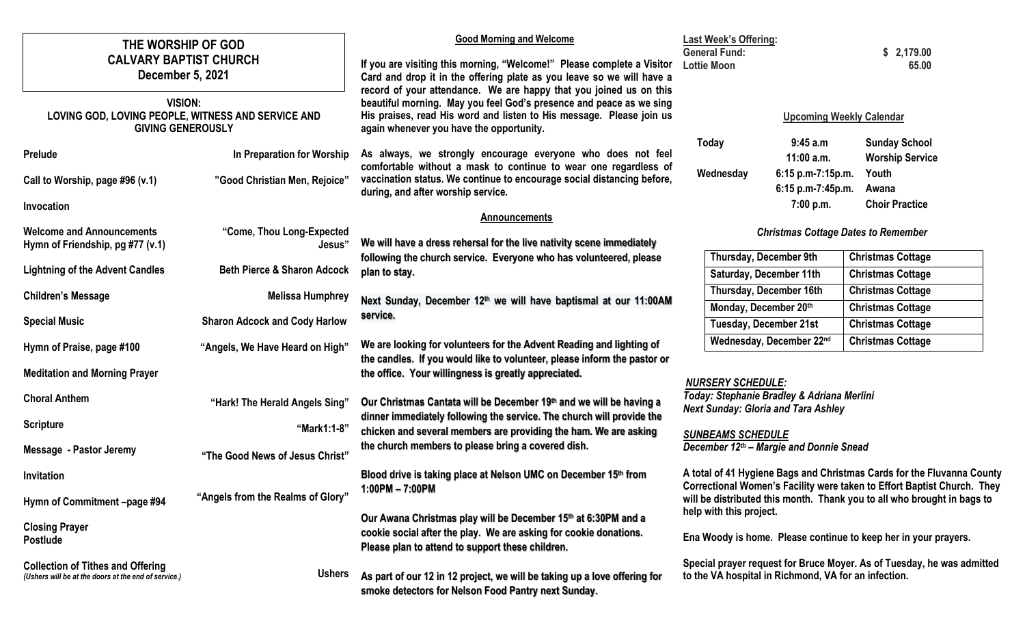| THE WORSHIP OF GOD<br><b>CALVARY BAPTIST CHURCH</b><br>December 5, 2021<br><b>VISION:</b><br>LOVING GOD, LOVING PEOPLE, WITNESS AND SERVICE AND<br><b>GIVING GENEROUSLY</b><br>Prelude | In Preparation for Worship             | <b>Good Morning and Welcome</b><br>If you are visiting this morning, "Welcome!" Please complete a Visitor<br>Card and drop it in the offering plate as you leave so we will have a<br>record of your attendance. We are happy that you joined us on this<br>beautiful morning. May you feel God's presence and peace as we sing<br>His praises, read His word and listen to His message. Please join us<br>again whenever you have the opportunity.<br>As always, we strongly encourage everyone who does not feel<br>comfortable without a mask to continue to wear one regardless of | <b>Last Week's Offering:</b><br><b>General Fund:</b><br><b>Lottie Moon</b><br><b>Today</b><br>Wednesday                                                                                                                      | <b>Upcoming Weekly Calendar</b><br>9:45a.m<br>$11:00$ a.m.<br>6:15 p.m-7:15p.m. | \$2,179.00<br>65.00<br><b>Sunday School</b><br><b>Worship Service</b><br>Youth |
|----------------------------------------------------------------------------------------------------------------------------------------------------------------------------------------|----------------------------------------|----------------------------------------------------------------------------------------------------------------------------------------------------------------------------------------------------------------------------------------------------------------------------------------------------------------------------------------------------------------------------------------------------------------------------------------------------------------------------------------------------------------------------------------------------------------------------------------|------------------------------------------------------------------------------------------------------------------------------------------------------------------------------------------------------------------------------|---------------------------------------------------------------------------------|--------------------------------------------------------------------------------|
| Call to Worship, page #96 (v.1)                                                                                                                                                        | "Good Christian Men, Rejoice"          | vaccination status. We continue to encourage social distancing before,<br>during, and after worship service.                                                                                                                                                                                                                                                                                                                                                                                                                                                                           |                                                                                                                                                                                                                              | 6:15 p.m-7:45p.m.                                                               | Awana                                                                          |
| Invocation                                                                                                                                                                             |                                        | <b>Announcements</b>                                                                                                                                                                                                                                                                                                                                                                                                                                                                                                                                                                   |                                                                                                                                                                                                                              | 7:00 p.m.                                                                       | <b>Choir Practice</b>                                                          |
| <b>Welcome and Announcements</b><br>Hymn of Friendship, pg #77 (v.1)                                                                                                                   | "Come, Thou Long-Expected<br>Jesus"    | We will have a dress rehersal for the live nativity scene immediately<br>following the church service. Everyone who has volunteered, please                                                                                                                                                                                                                                                                                                                                                                                                                                            |                                                                                                                                                                                                                              | <b>Christmas Cottage Dates to Remember</b><br><b>Thursday, December 9th</b>     | <b>Christmas Cottage</b>                                                       |
| <b>Lightning of the Advent Candles</b>                                                                                                                                                 | <b>Beth Pierce &amp; Sharon Adcock</b> | plan to stay.                                                                                                                                                                                                                                                                                                                                                                                                                                                                                                                                                                          |                                                                                                                                                                                                                              | Saturday, December 11th                                                         | <b>Christmas Cottage</b>                                                       |
| <b>Children's Message</b>                                                                                                                                                              | <b>Melissa Humphrey</b>                | Next Sunday, December 12th we will have baptismal at our 11:00AM<br>service.                                                                                                                                                                                                                                                                                                                                                                                                                                                                                                           |                                                                                                                                                                                                                              | Thursday, December 16th<br>Monday, December 20th                                | <b>Christmas Cottage</b><br><b>Christmas Cottage</b>                           |
| <b>Special Music</b>                                                                                                                                                                   | <b>Sharon Adcock and Cody Harlow</b>   |                                                                                                                                                                                                                                                                                                                                                                                                                                                                                                                                                                                        |                                                                                                                                                                                                                              | <b>Tuesday, December 21st</b>                                                   | <b>Christmas Cottage</b>                                                       |
| Hymn of Praise, page #100                                                                                                                                                              | "Angels, We Have Heard on High"        | We are looking for volunteers for the Advent Reading and lighting of<br>the candles. If you would like to volunteer, please inform the pastor or                                                                                                                                                                                                                                                                                                                                                                                                                                       |                                                                                                                                                                                                                              | Wednesday, December 22nd                                                        | <b>Christmas Cottage</b>                                                       |
| <b>Meditation and Morning Prayer</b>                                                                                                                                                   |                                        | the office. Your willingness is greatly appreciated.                                                                                                                                                                                                                                                                                                                                                                                                                                                                                                                                   | <b>NURSERY SCHEDULE:</b><br>Today: Stephanie Bradley & Adriana Merlini<br><b>Next Sunday: Gloria and Tara Ashley</b><br><b>SUNBEAMS SCHEDULE</b><br>December 12th - Margie and Donnie Snead                                  |                                                                                 |                                                                                |
| <b>Choral Anthem</b>                                                                                                                                                                   | "Hark! The Herald Angels Sing"         | Our Christmas Cantata will be December 19th and we will be having a                                                                                                                                                                                                                                                                                                                                                                                                                                                                                                                    |                                                                                                                                                                                                                              |                                                                                 |                                                                                |
| <b>Scripture</b>                                                                                                                                                                       | "Mark1:1-8"                            | dinner immediately following the service. The church will provide the<br>chicken and several members are providing the ham. We are asking                                                                                                                                                                                                                                                                                                                                                                                                                                              |                                                                                                                                                                                                                              |                                                                                 |                                                                                |
| <b>Message - Pastor Jeremy</b>                                                                                                                                                         | "The Good News of Jesus Christ"        | the church members to please bring a covered dish.                                                                                                                                                                                                                                                                                                                                                                                                                                                                                                                                     |                                                                                                                                                                                                                              |                                                                                 |                                                                                |
| Invitation                                                                                                                                                                             |                                        | Blood drive is taking place at Nelson UMC on December 15th from                                                                                                                                                                                                                                                                                                                                                                                                                                                                                                                        | A total of 41 Hygiene Bags and Christmas Cards for the Fluvanna County<br>Correctional Women's Facility were taken to Effort Baptist Church. They<br>will be distributed this month. Thank you to all who brought in bags to |                                                                                 |                                                                                |
| Hymn of Commitment -page #94                                                                                                                                                           | "Angels from the Realms of Glory"      | $1:00PM - 7:00PM$                                                                                                                                                                                                                                                                                                                                                                                                                                                                                                                                                                      |                                                                                                                                                                                                                              |                                                                                 |                                                                                |
| <b>Closing Prayer</b><br><b>Postlude</b>                                                                                                                                               |                                        | Our Awana Christmas play will be December 15th at 6:30PM and a<br>cookie social after the play. We are asking for cookie donations.<br>Please plan to attend to support these children.                                                                                                                                                                                                                                                                                                                                                                                                | help with this project.<br>Ena Woody is home. Please continue to keep her in your prayers.                                                                                                                                   |                                                                                 |                                                                                |
| <b>Collection of Tithes and Offering</b><br>(Ushers will be at the doors at the end of service.)                                                                                       | <b>Ushers</b>                          | As part of our 12 in 12 project, we will be taking up a love offering for<br>smoke detectors for Nelson Food Pantry next Sunday.                                                                                                                                                                                                                                                                                                                                                                                                                                                       | Special prayer request for Bruce Moyer. As of Tuesday, he was admitted<br>to the VA hospital in Richmond, VA for an infection.                                                                                               |                                                                                 |                                                                                |